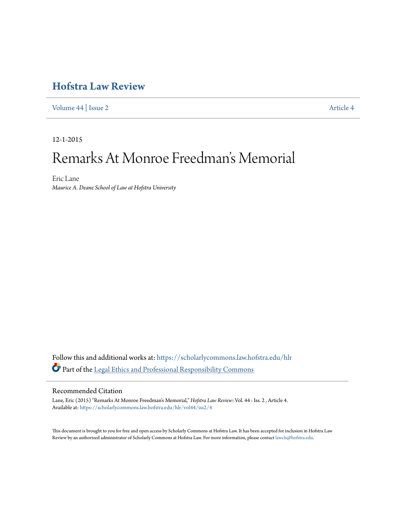## **[Hofstra Law Review](https://scholarlycommons.law.hofstra.edu/hlr?utm_source=scholarlycommons.law.hofstra.edu%2Fhlr%2Fvol44%2Fiss2%2F4&utm_medium=PDF&utm_campaign=PDFCoverPages)**

[Volume 44](https://scholarlycommons.law.hofstra.edu/hlr/vol44?utm_source=scholarlycommons.law.hofstra.edu%2Fhlr%2Fvol44%2Fiss2%2F4&utm_medium=PDF&utm_campaign=PDFCoverPages) | [Issue 2](https://scholarlycommons.law.hofstra.edu/hlr/vol44/iss2?utm_source=scholarlycommons.law.hofstra.edu%2Fhlr%2Fvol44%2Fiss2%2F4&utm_medium=PDF&utm_campaign=PDFCoverPages) [Article 4](https://scholarlycommons.law.hofstra.edu/hlr/vol44/iss2/4?utm_source=scholarlycommons.law.hofstra.edu%2Fhlr%2Fvol44%2Fiss2%2F4&utm_medium=PDF&utm_campaign=PDFCoverPages)

12-1-2015

# Remarks At Monroe Freedman 's Memorial

Eric Lane *Maurice A. Deane School of Law at Hofstra University*

Follow this and additional works at: [https://scholarlycommons.law.hofstra.edu/hlr](https://scholarlycommons.law.hofstra.edu/hlr?utm_source=scholarlycommons.law.hofstra.edu%2Fhlr%2Fvol44%2Fiss2%2F4&utm_medium=PDF&utm_campaign=PDFCoverPages) Part of the [Legal Ethics and Professional Responsibility Commons](http://network.bepress.com/hgg/discipline/895?utm_source=scholarlycommons.law.hofstra.edu%2Fhlr%2Fvol44%2Fiss2%2F4&utm_medium=PDF&utm_campaign=PDFCoverPages)

#### Recommended Citation

Lane, Eric (2015) "Remarks At Monroe Freedman's Memorial," *Hofstra Law Review*: Vol. 44 : Iss. 2 , Article 4. Available at: [https://scholarlycommons.law.hofstra.edu/hlr/vol44/iss2/4](https://scholarlycommons.law.hofstra.edu/hlr/vol44/iss2/4?utm_source=scholarlycommons.law.hofstra.edu%2Fhlr%2Fvol44%2Fiss2%2F4&utm_medium=PDF&utm_campaign=PDFCoverPages)

This document is brought to you for free and open access by Scholarly Commons at Hofstra Law. It has been accepted for inclusion in Hofstra Law Review by an authorized administrator of Scholarly Commons at Hofstra Law. For more information, please contact [lawcls@hofstra.edu](mailto:lawcls@hofstra.edu).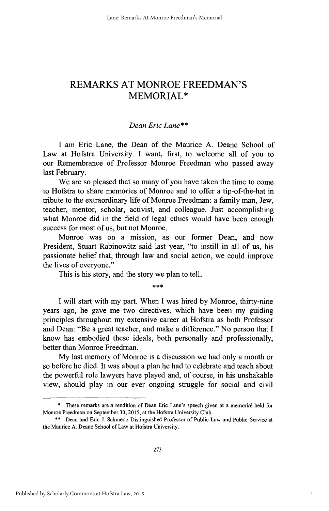### REMARKS **AT** MONROE **FREEDMAN'S** MEMORIAL\*

#### *Dean Eric Lane\*\**

**I** am Eric Lane, the Dean of the Maurice **A.** Deane School of Law at Hofstra University. **I** want, first, to welcome all of you to our Remembrance of Professor Monroe Freedman who passed away last February.

We are so pleased that so many of you have taken the time to come to Hofstra to share memories of Monroe and to offer a tip-of-the-hat in tribute to the extraordinary life of Monroe Freedman: a family man, Jew, teacher, mentor, scholar, activist, and colleague. Just accomplishing what Monroe did in the field of legal ethics would have been enough success for most of us, but not Monroe.

Monroe was on a mission, as our former Dean, and now President, Stuart Rabinowitz said last year, "to instill in all of us, his passionate belief that, through law and social action, we could improve the lives of everyone."

This is his story, and the story we plan to tell.

\*\*\*

**I** will start with my part. When **I** was hired **by** Monroe, thirty-nine years ago, he gave me two directives, which have been my guiding principles throughout my extensive career at Hofstra as both Professor and Dean: "Be a great teacher, and make a difference." No person that **I** know has embodied these ideals, both personally and professionally, better than Monroe Freedman.

**My** last memory of Monroe is a discussion we had only a month or so before he died. It was about a plan he had to celebrate and teach about the powerful role lawyers have played and, of course, in his unshakable view, should play in our ever ongoing struggle for social and civil

**<sup>\*</sup>** These remarks are a rendition of Dean Eric Lane's speech given at a memorial held for Monroe Freedman on September **30, 2015,** at the Hofstra University Club.

**<sup>\*\*</sup>** Dean and Eric **I** Schmertz Distinguished Professor of Public Law and Public Service at the Maurice **A.** Deane School of Law at Hofstra University.